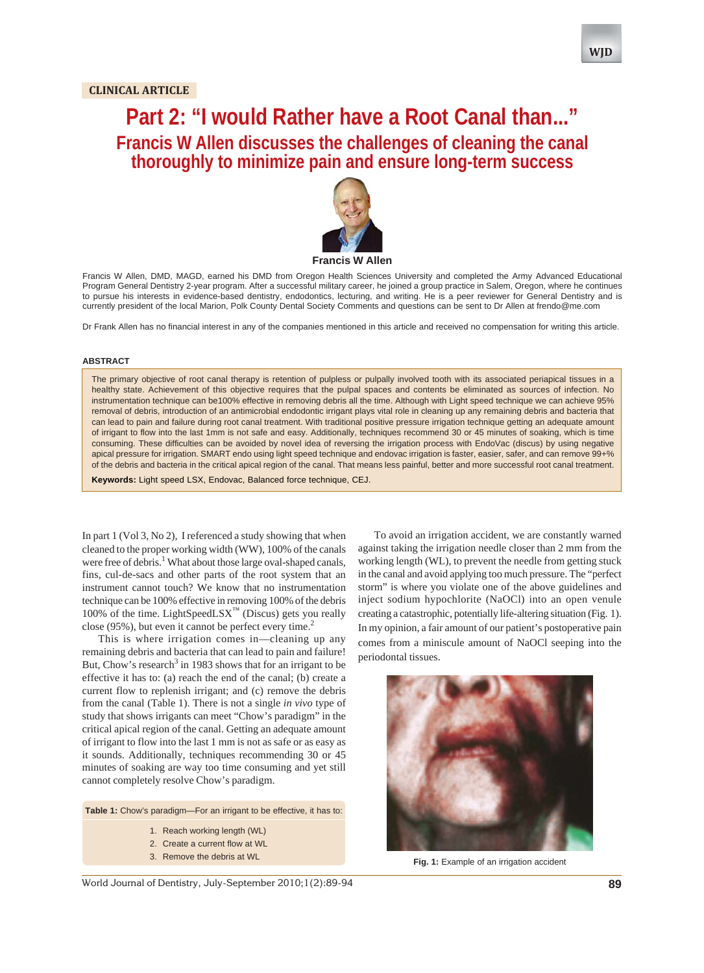# **Part 2: "I would Rather have a Root Canal than..." Francis W Allen discusses the challenges of cleaning the canal thoroughly to minimize pain and ensure long-term success**



Francis W Allen, DMD, MAGD, earned his DMD from Oregon Health Sciences University and completed the Army Advanced Educational Program General Dentistry 2-year program. After a successful military career, he joined a group practice in Salem, Oregon, where he continues to pursue his interests in evidence-based dentistry, endodontics, lecturing, and writing. He is a peer reviewer for General Dentistry and is currently president of the local Marion, Polk County Dental Society Comments and questions can be sent to Dr Allen at frendo@me.com

Dr Frank Allen has no financial interest in any of the companies mentioned in this article and received no compensation for writing this article.

#### **ABSTRACT**

The primary objective of root canal therapy is retention of pulpless or pulpally involved tooth with its associated periapical tissues in a healthy state. Achievement of this objective requires that the pulpal spaces and contents be eliminated as sources of infection. No instrumentation technique can be100% effective in removing debris all the time. Although with Light speed technique we can achieve 95% removal of debris, introduction of an antimicrobial endodontic irrigant plays vital role in cleaning up any remaining debris and bacteria that can lead to pain and failure during root canal treatment. With traditional positive pressure irrigation technique getting an adequate amount of irrigant to flow into the last 1mm is not safe and easy. Additionally, techniques recommend 30 or 45 minutes of soaking, which is time consuming. These difficulties can be avoided by novel idea of reversing the irrigation process with EndoVac (discus) by using negative apical pressure for irrigation. SMART endo using light speed technique and endovac irrigation is faster, easier, safer, and can remove 99+% of the debris and bacteria in the critical apical region of the canal. That means less painful, better and more successful root canal treatment.

**Keywords:** Light speed LSX, Endovac, Balanced force technique, CEJ.

In part 1 (Vol 3, No 2), I referenced a study showing that when cleaned to the proper working width (WW), 100% of the canals were free of debris.<sup>1</sup> What about those large oval-shaped canals, fins, cul-de-sacs and other parts of the root system that an instrument cannot touch? We know that no instrumentation technique can be 100% effective in removing 100% of the debris 100% of the time. LightSpeedLSX<sup>™</sup> (Discus) gets you really close  $(95\%)$ , but even it cannot be perfect every time.<sup>2</sup>

This is where irrigation comes in—cleaning up any remaining debris and bacteria that can lead to pain and failure! But, Chow's research<sup>3</sup> in 1983 shows that for an irrigant to be effective it has to: (a) reach the end of the canal; (b) create a current flow to replenish irrigant; and (c) remove the debris from the canal (Table 1). There is not a single *in vivo* type of study that shows irrigants can meet "Chow's paradigm" in the critical apical region of the canal. Getting an adequate amount of irrigant to flow into the last 1 mm is not as safe or as easy as it sounds. Additionally, techniques recommending 30 or 45 minutes of soaking are way too time consuming and yet still cannot completely resolve Chow's paradigm.

**Table 1:** Chow's paradigm—For an irrigant to be effective, it has to:

- 1. Reach working length (WL)
- 2. Create a current flow at WL
- 

To avoid an irrigation accident, we are constantly warned against taking the irrigation needle closer than 2 mm from the working length (WL), to prevent the needle from getting stuck in the canal and avoid applying too much pressure. The "perfect storm" is where you violate one of the above guidelines and inject sodium hypochlorite (NaOCl) into an open venule creating a catastrophic, potentially life-altering situation (Fig. 1). In my opinion, a fair amount of our patient's postoperative pain comes from a miniscule amount of NaOCl seeping into the periodontal tissues.



3. Remove the debris at WL **Fig. 1:** Example of an irrigation accident

World Journal of Dentistry, July-September 2010;1(2):89-94 **89**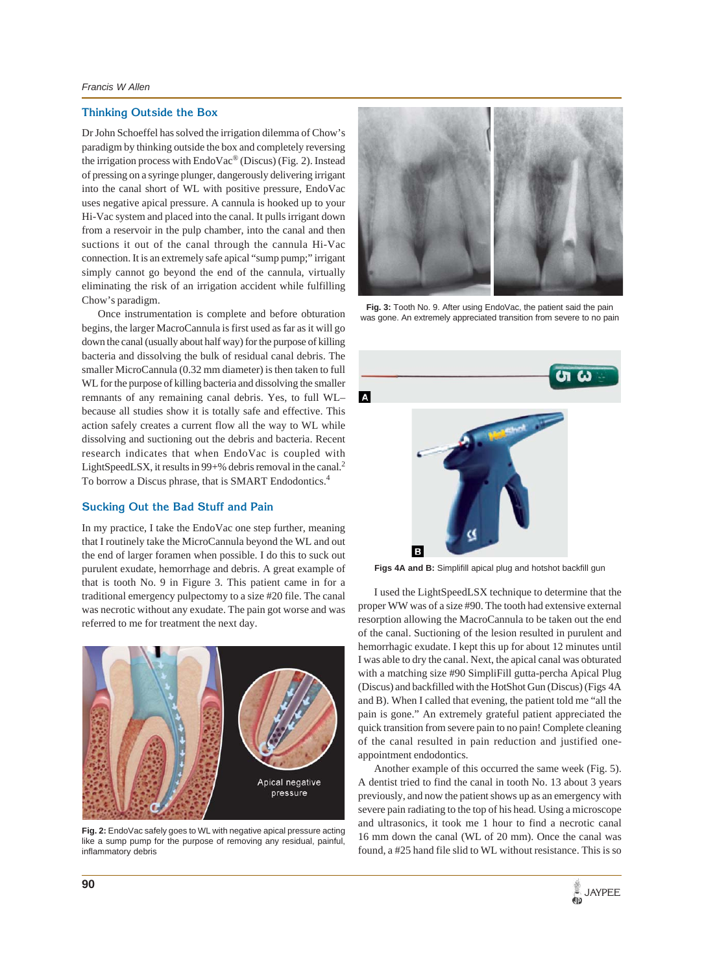#### **Thinking Outside the Box**

Dr John Schoeffel has solved the irrigation dilemma of Chow's paradigm by thinking outside the box and completely reversing the irrigation process with EndoVac® (Discus) (Fig. 2). Instead of pressing on a syringe plunger, dangerously delivering irrigant into the canal short of WL with positive pressure, EndoVac uses negative apical pressure. A cannula is hooked up to your Hi-Vac system and placed into the canal. It pulls irrigant down from a reservoir in the pulp chamber, into the canal and then suctions it out of the canal through the cannula Hi-Vac connection. It is an extremely safe apical "sump pump;" irrigant simply cannot go beyond the end of the cannula, virtually eliminating the risk of an irrigation accident while fulfilling Chow's paradigm.

Once instrumentation is complete and before obturation begins, the larger MacroCannula is first used as far as it will go down the canal (usually about half way) for the purpose of killing bacteria and dissolving the bulk of residual canal debris. The smaller MicroCannula (0.32 mm diameter) is then taken to full WL for the purpose of killing bacteria and dissolving the smaller remnants of any remaining canal debris. Yes, to full WL– because all studies show it is totally safe and effective. This action safely creates a current flow all the way to WL while dissolving and suctioning out the debris and bacteria. Recent research indicates that when EndoVac is coupled with LightSpeedLSX, it results in 99+% debris removal in the canal.<sup>2</sup> To borrow a Discus phrase, that is SMART Endodontics.4

#### **Sucking Out the Bad Stuff and Pain**

In my practice, I take the EndoVac one step further, meaning that I routinely take the MicroCannula beyond the WL and out the end of larger foramen when possible. I do this to suck out purulent exudate, hemorrhage and debris. A great example of that is tooth No. 9 in Figure 3. This patient came in for a traditional emergency pulpectomy to a size #20 file. The canal was necrotic without any exudate. The pain got worse and was referred to me for treatment the next day.



**Fig. 2:** EndoVac safely goes to WL with negative apical pressure acting like a sump pump for the purpose of removing any residual, painful, inflammatory debris



**Fig. 3:** Tooth No. 9. After using EndoVac, the patient said the pain was gone. An extremely appreciated transition from severe to no pain



**Figs 4A and B:** Simplifill apical plug and hotshot backfill gun

I used the LightSpeedLSX technique to determine that the proper WW was of a size #90. The tooth had extensive external resorption allowing the MacroCannula to be taken out the end of the canal. Suctioning of the lesion resulted in purulent and hemorrhagic exudate. I kept this up for about 12 minutes until I was able to dry the canal. Next, the apical canal was obturated with a matching size #90 SimpliFill gutta-percha Apical Plug (Discus) and backfilled with the HotShot Gun (Discus) (Figs 4A and B). When I called that evening, the patient told me "all the pain is gone." An extremely grateful patient appreciated the quick transition from severe pain to no pain! Complete cleaning of the canal resulted in pain reduction and justified oneappointment endodontics.

Another example of this occurred the same week (Fig. 5). A dentist tried to find the canal in tooth No. 13 about 3 years previously, and now the patient shows up as an emergency with severe pain radiating to the top of his head. Using a microscope and ultrasonics, it took me 1 hour to find a necrotic canal 16 mm down the canal (WL of 20 mm). Once the canal was found, a #25 hand file slid to WL without resistance. This is so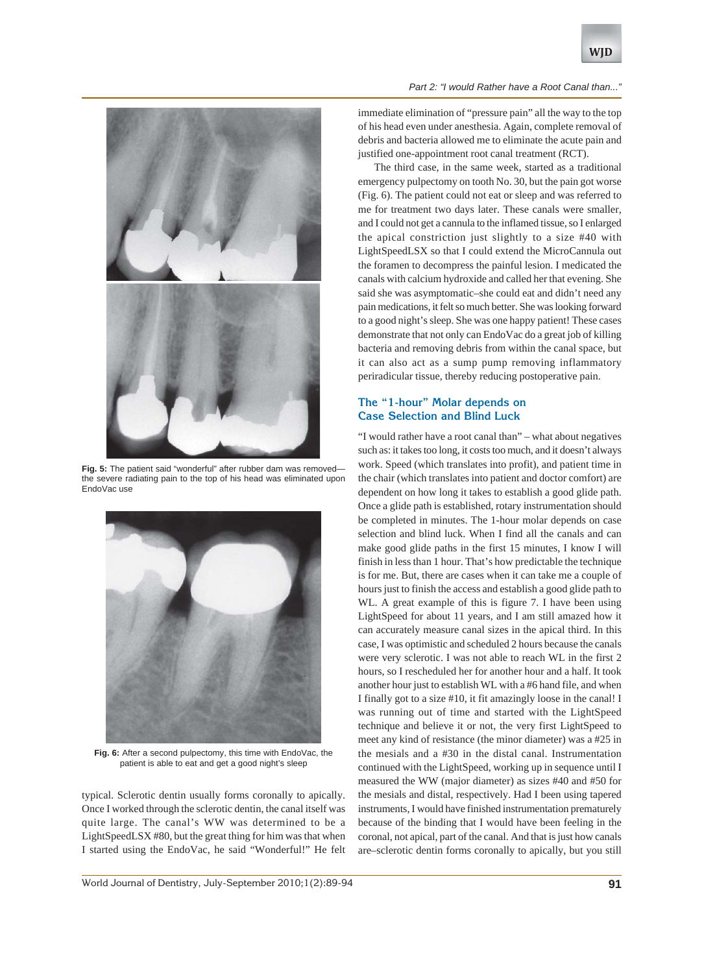



**Fig. 5:** The patient said "wonderful" after rubber dam was removed the severe radiating pain to the top of his head was eliminated upon EndoVac use



**Fig. 6:** After a second pulpectomy, this time with EndoVac, the patient is able to eat and get a good night's sleep

typical. Sclerotic dentin usually forms coronally to apically. Once I worked through the sclerotic dentin, the canal itself was quite large. The canal's WW was determined to be a LightSpeedLSX #80, but the great thing for him was that when I started using the EndoVac, he said "Wonderful!" He felt

immediate elimination of "pressure pain" all the way to the top of his head even under anesthesia. Again, complete removal of debris and bacteria allowed me to eliminate the acute pain and justified one-appointment root canal treatment (RCT).

The third case, in the same week, started as a traditional emergency pulpectomy on tooth No. 30, but the pain got worse (Fig. 6). The patient could not eat or sleep and was referred to me for treatment two days later. These canals were smaller, and I could not get a cannula to the inflamed tissue, so I enlarged the apical constriction just slightly to a size #40 with LightSpeedLSX so that I could extend the MicroCannula out the foramen to decompress the painful lesion. I medicated the canals with calcium hydroxide and called her that evening. She said she was asymptomatic–she could eat and didn't need any pain medications, it felt so much better. She was looking forward to a good night's sleep. She was one happy patient! These cases demonstrate that not only can EndoVac do a great job of killing bacteria and removing debris from within the canal space, but it can also act as a sump pump removing inflammatory periradicular tissue, thereby reducing postoperative pain.

# **The "1-hour" Molar depends on Case Selection and Blind Luck**

"I would rather have a root canal than" – what about negatives such as: it takes too long, it costs too much, and it doesn't always work. Speed (which translates into profit), and patient time in the chair (which translates into patient and doctor comfort) are dependent on how long it takes to establish a good glide path. Once a glide path is established, rotary instrumentation should be completed in minutes. The 1-hour molar depends on case selection and blind luck. When I find all the canals and can make good glide paths in the first 15 minutes, I know I will finish in less than 1 hour. That's how predictable the technique is for me. But, there are cases when it can take me a couple of hours just to finish the access and establish a good glide path to WL. A great example of this is figure 7. I have been using LightSpeed for about 11 years, and I am still amazed how it can accurately measure canal sizes in the apical third. In this case, I was optimistic and scheduled 2 hours because the canals were very sclerotic. I was not able to reach WL in the first 2 hours, so I rescheduled her for another hour and a half. It took another hour just to establish WL with a #6 hand file, and when I finally got to a size #10, it fit amazingly loose in the canal! I was running out of time and started with the LightSpeed technique and believe it or not, the very first LightSpeed to meet any kind of resistance (the minor diameter) was a #25 in the mesials and a #30 in the distal canal. Instrumentation continued with the LightSpeed, working up in sequence until I measured the WW (major diameter) as sizes #40 and #50 for the mesials and distal, respectively. Had I been using tapered instruments, I would have finished instrumentation prematurely because of the binding that I would have been feeling in the coronal, not apical, part of the canal. And that is just how canals are–sclerotic dentin forms coronally to apically, but you still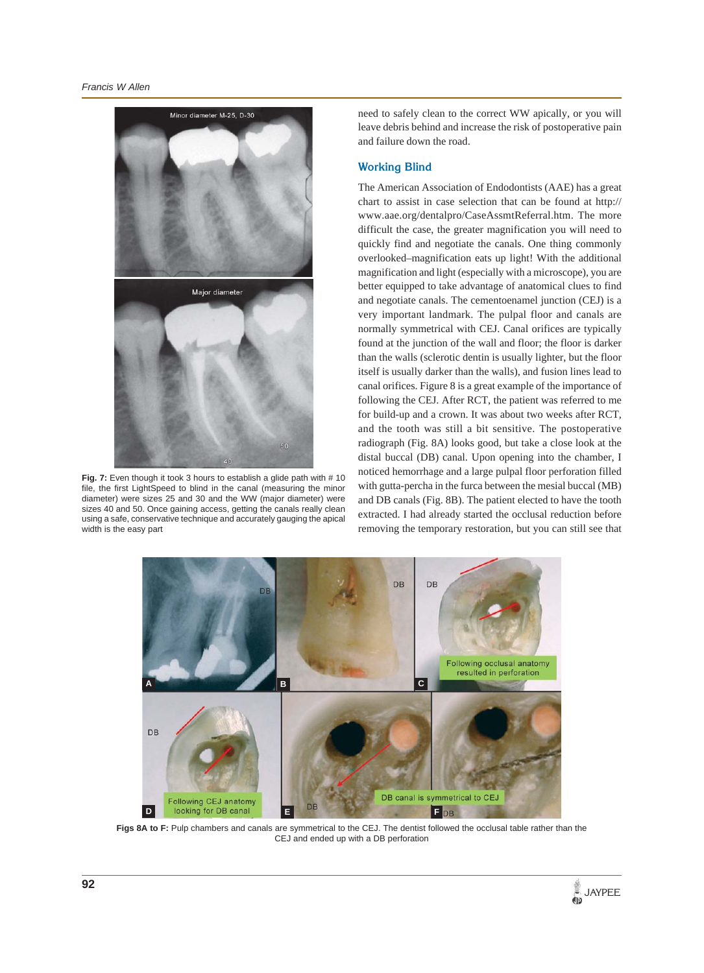

**Fig. 7:** Even though it took 3 hours to establish a glide path with # 10 file, the first LightSpeed to blind in the canal (measuring the minor diameter) were sizes 25 and 30 and the WW (major diameter) were sizes 40 and 50. Once gaining access, getting the canals really clean using a safe, conservative technique and accurately gauging the apical width is the easy part

need to safely clean to the correct WW apically, or you will leave debris behind and increase the risk of postoperative pain and failure down the road.

#### **Working Blind**

The American Association of Endodontists (AAE) has a great chart to assist in case selection that can be found at http:// www.aae.org/dentalpro/CaseAssmtReferral.htm. The more difficult the case, the greater magnification you will need to quickly find and negotiate the canals. One thing commonly overlooked–magnification eats up light! With the additional magnification and light (especially with a microscope), you are better equipped to take advantage of anatomical clues to find and negotiate canals. The cementoenamel junction (CEJ) is a very important landmark. The pulpal floor and canals are normally symmetrical with CEJ. Canal orifices are typically found at the junction of the wall and floor; the floor is darker than the walls (sclerotic dentin is usually lighter, but the floor itself is usually darker than the walls), and fusion lines lead to canal orifices. Figure 8 is a great example of the importance of following the CEJ. After RCT, the patient was referred to me for build-up and a crown. It was about two weeks after RCT, and the tooth was still a bit sensitive. The postoperative radiograph (Fig. 8A) looks good, but take a close look at the distal buccal (DB) canal. Upon opening into the chamber, I noticed hemorrhage and a large pulpal floor perforation filled with gutta-percha in the furca between the mesial buccal (MB) and DB canals (Fig. 8B). The patient elected to have the tooth extracted. I had already started the occlusal reduction before removing the temporary restoration, but you can still see that



Figs 8A to F: Pulp chambers and canals are symmetrical to the CEJ. The dentist followed the occlusal table rather than the CEJ and ended up with a DB perforation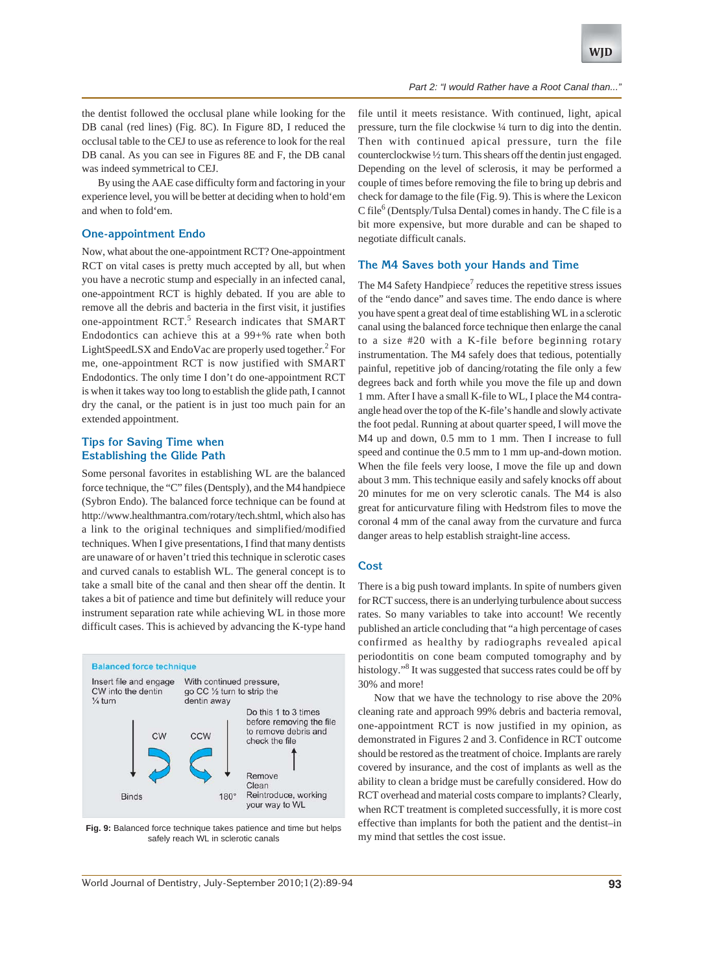#### *Part 2: "I would Rather have a Root Canal than...*

the dentist followed the occlusal plane while looking for the DB canal (red lines) (Fig. 8C). In Figure 8D, I reduced the occlusal table to the CEJ to use as reference to look for the real DB canal. As you can see in Figures 8E and F, the DB canal was indeed symmetrical to CEJ.

By using the AAE case difficulty form and factoring in your experience level, you will be better at deciding when to hold'em and when to fold'em.

## **One-appointment Endo**

Now, what about the one-appointment RCT? One-appointment RCT on vital cases is pretty much accepted by all, but when you have a necrotic stump and especially in an infected canal, one-appointment RCT is highly debated. If you are able to remove all the debris and bacteria in the first visit, it justifies one-appointment RCT.<sup>5</sup> Research indicates that SMART Endodontics can achieve this at a 99+% rate when both LightSpeedLSX and EndoVac are properly used together.<sup>2</sup> For me, one-appointment RCT is now justified with SMART Endodontics. The only time I don't do one-appointment RCT is when it takes way too long to establish the glide path, I cannot dry the canal, or the patient is in just too much pain for an extended appointment.

#### **Tips for Saving Time when Establishing the Glide Path**

Some personal favorites in establishing WL are the balanced force technique, the "C" files (Dentsply), and the M4 handpiece (Sybron Endo). The balanced force technique can be found at http://www.healthmantra.com/rotary/tech.shtml, which also has a link to the original techniques and simplified/modified techniques. When I give presentations, I find that many dentists are unaware of or haven't tried this technique in sclerotic cases and curved canals to establish WL. The general concept is to take a small bite of the canal and then shear off the dentin. It takes a bit of patience and time but definitely will reduce your instrument separation rate while achieving WL in those more difficult cases. This is achieved by advancing the K-type hand



**Fig. 9:** Balanced force technique takes patience and time but helps safely reach WL in sclerotic canals

file until it meets resistance. With continued, light, apical pressure, turn the file clockwise ¼ turn to dig into the dentin. Then with continued apical pressure, turn the file counterclockwise ½ turn. This shears off the dentin just engaged. Depending on the level of sclerosis, it may be performed a couple of times before removing the file to bring up debris and check for damage to the file (Fig. 9). This is where the Lexicon C file<sup>6</sup> (Dentsply/Tulsa Dental) comes in handy. The C file is a bit more expensive, but more durable and can be shaped to negotiate difficult canals.

#### **The M4 Saves both your Hands and Time**

The M4 Safety Handpiece<sup>7</sup> reduces the repetitive stress issues of the "endo dance" and saves time. The endo dance is where you have spent a great deal of time establishing WL in a sclerotic canal using the balanced force technique then enlarge the canal to a size #20 with a K-file before beginning rotary instrumentation. The M4 safely does that tedious, potentially painful, repetitive job of dancing/rotating the file only a few degrees back and forth while you move the file up and down 1 mm. After I have a small K-file to WL, I place the M4 contraangle head over the top of the K-file's handle and slowly activate the foot pedal. Running at about quarter speed, I will move the M4 up and down, 0.5 mm to 1 mm. Then I increase to full speed and continue the 0.5 mm to 1 mm up-and-down motion. When the file feels very loose, I move the file up and down about 3 mm. This technique easily and safely knocks off about 20 minutes for me on very sclerotic canals. The M4 is also great for anticurvature filing with Hedstrom files to move the coronal 4 mm of the canal away from the curvature and furca danger areas to help establish straight-line access.

#### **Cost**

There is a big push toward implants. In spite of numbers given for RCT success, there is an underlying turbulence about success rates. So many variables to take into account! We recently published an article concluding that "a high percentage of cases confirmed as healthy by radiographs revealed apical periodontitis on cone beam computed tomography and by histology."<sup>8</sup> It was suggested that success rates could be off by 30% and more!

Now that we have the technology to rise above the 20% cleaning rate and approach 99% debris and bacteria removal, one-appointment RCT is now justified in my opinion, as demonstrated in Figures 2 and 3. Confidence in RCT outcome should be restored as the treatment of choice. Implants are rarely covered by insurance, and the cost of implants as well as the ability to clean a bridge must be carefully considered. How do RCT overhead and material costs compare to implants? Clearly, when RCT treatment is completed successfully, it is more cost effective than implants for both the patient and the dentist–in my mind that settles the cost issue.